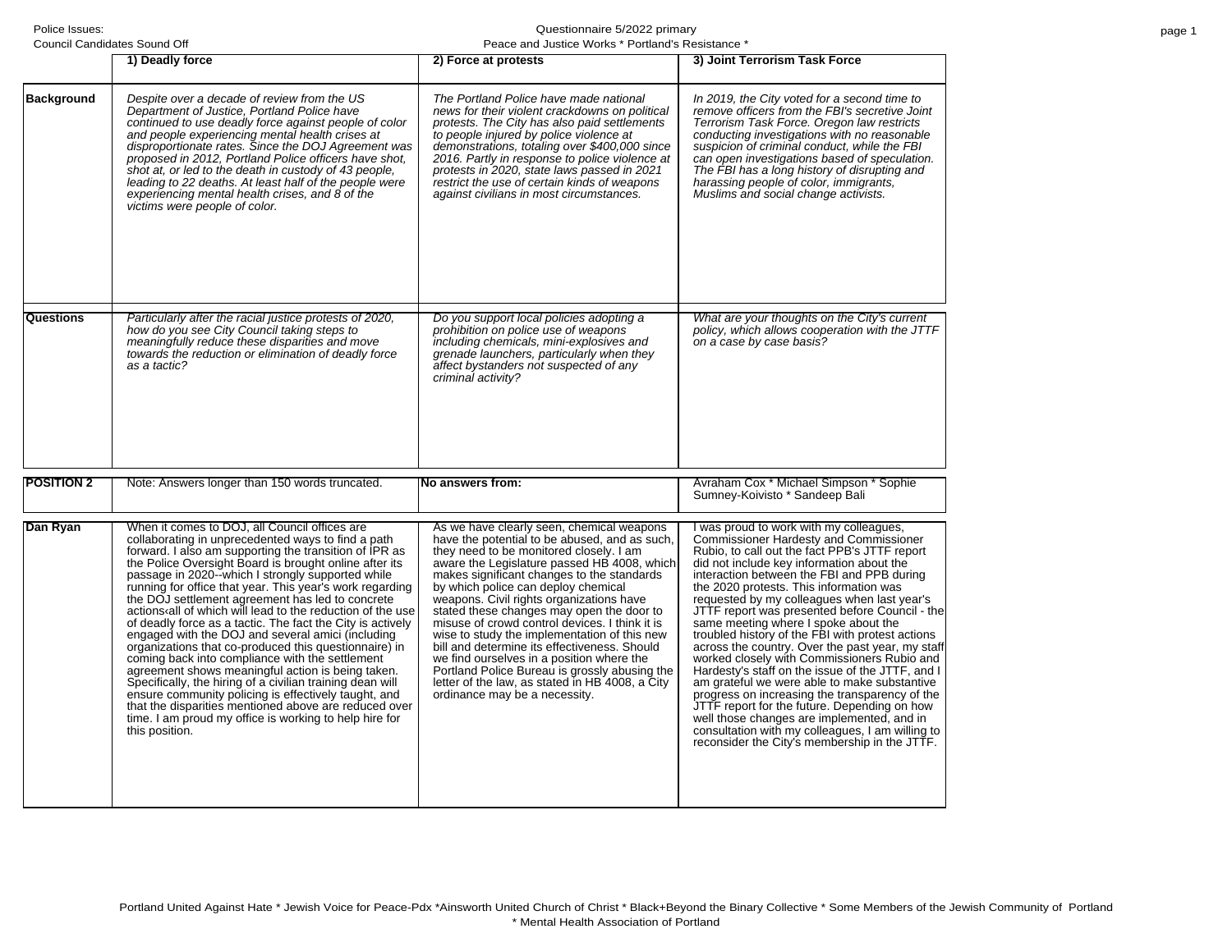| Council Candidates Sound Off |                                                                                                                                                                                                                                                                                                                                                                                                                                                                                                                                                                                                                                                                                                                                                                                                                                                                                                                                                                                                          | Peace and Justice Works * Portland's Resistance *                                                                                                                                                                                                                                                                                                                                                                                                                                                                                                                                                                                                                                                      |                                                                                                                                                                                                                                                                                                                                                                                                                                                                                                                                                                                                                                                                                                                                                                                                                                                                                                                                          |  |
|------------------------------|----------------------------------------------------------------------------------------------------------------------------------------------------------------------------------------------------------------------------------------------------------------------------------------------------------------------------------------------------------------------------------------------------------------------------------------------------------------------------------------------------------------------------------------------------------------------------------------------------------------------------------------------------------------------------------------------------------------------------------------------------------------------------------------------------------------------------------------------------------------------------------------------------------------------------------------------------------------------------------------------------------|--------------------------------------------------------------------------------------------------------------------------------------------------------------------------------------------------------------------------------------------------------------------------------------------------------------------------------------------------------------------------------------------------------------------------------------------------------------------------------------------------------------------------------------------------------------------------------------------------------------------------------------------------------------------------------------------------------|------------------------------------------------------------------------------------------------------------------------------------------------------------------------------------------------------------------------------------------------------------------------------------------------------------------------------------------------------------------------------------------------------------------------------------------------------------------------------------------------------------------------------------------------------------------------------------------------------------------------------------------------------------------------------------------------------------------------------------------------------------------------------------------------------------------------------------------------------------------------------------------------------------------------------------------|--|
|                              | 1) Deadly force                                                                                                                                                                                                                                                                                                                                                                                                                                                                                                                                                                                                                                                                                                                                                                                                                                                                                                                                                                                          | 2) Force at protests                                                                                                                                                                                                                                                                                                                                                                                                                                                                                                                                                                                                                                                                                   | 3) Joint Terrorism Task Force                                                                                                                                                                                                                                                                                                                                                                                                                                                                                                                                                                                                                                                                                                                                                                                                                                                                                                            |  |
| <b>Background</b>            | Despite over a decade of review from the US<br>Department of Justice, Portland Police have<br>continued to use deadly force against people of color<br>and people experiencing mental health crises at<br>disproportionate rates. Since the DOJ Agreement was<br>proposed in 2012, Portland Police officers have shot,<br>shot at, or led to the death in custody of 43 people,<br>leading to 22 deaths. At least half of the people were<br>experiencing mental health crises, and 8 of the<br>victims were people of color.                                                                                                                                                                                                                                                                                                                                                                                                                                                                            | The Portland Police have made national<br>news for their violent crackdowns on political<br>protests. The City has also paid settlements<br>to people injured by police violence at<br>demonstrations, totaling over \$400,000 since<br>2016. Partly in response to police violence at<br>protests in 2020, state laws passed in 2021<br>restrict the use of certain kinds of weapons<br>against civilians in most circumstances.                                                                                                                                                                                                                                                                      | In 2019, the City voted for a second time to<br>remove officers from the FBI's secretive Joint<br>Terrorism Task Force. Oregon law restricts<br>conducting investigations with no reasonable<br>suspicion of criminal conduct, while the FBI<br>can open investigations based of speculation.<br>The FBI has a long history of disrupting and<br>harassing people of color, immigrants,<br>Muslims and social change activists.                                                                                                                                                                                                                                                                                                                                                                                                                                                                                                          |  |
| Questions                    | Particularly after the racial justice protests of 2020,                                                                                                                                                                                                                                                                                                                                                                                                                                                                                                                                                                                                                                                                                                                                                                                                                                                                                                                                                  | Do you support local policies adopting a                                                                                                                                                                                                                                                                                                                                                                                                                                                                                                                                                                                                                                                               | What are your thoughts on the City's current                                                                                                                                                                                                                                                                                                                                                                                                                                                                                                                                                                                                                                                                                                                                                                                                                                                                                             |  |
|                              | how do you see City Council taking steps to<br>meaningfully reduce these disparities and move<br>towards the reduction or elimination of deadly force<br>as a tactic?                                                                                                                                                                                                                                                                                                                                                                                                                                                                                                                                                                                                                                                                                                                                                                                                                                    | prohibition on police use of weapons<br>including chemicals, mini-explosives and<br>grenade launchers, particularly when they<br>affect bystanders not suspected of any<br>criminal activity?                                                                                                                                                                                                                                                                                                                                                                                                                                                                                                          | policy, which allows cooperation with the JTTF<br>on a case by case basis?                                                                                                                                                                                                                                                                                                                                                                                                                                                                                                                                                                                                                                                                                                                                                                                                                                                               |  |
| <b>POSITION 2</b>            | Note: Answers longer than 150 words truncated.                                                                                                                                                                                                                                                                                                                                                                                                                                                                                                                                                                                                                                                                                                                                                                                                                                                                                                                                                           | No answers from:                                                                                                                                                                                                                                                                                                                                                                                                                                                                                                                                                                                                                                                                                       | Avraham Cox * Michael Simpson * Sophie<br>Sumney-Koivisto * Sandeep Bali                                                                                                                                                                                                                                                                                                                                                                                                                                                                                                                                                                                                                                                                                                                                                                                                                                                                 |  |
| Dan Ryan                     | When it comes to DOJ, all Council offices are<br>collaborating in unprecedented ways to find a path<br>forward. I also am supporting the transition of IPR as<br>the Police Oversight Board is brought online after its<br>passage in 2020--which I strongly supported while<br>running for office that year. This year's work regarding<br>the DOJ settlement agreement has led to concrete<br>actions all of which will lead to the reduction of the use<br>of deadly force as a tactic. The fact the City is actively<br>engaged with the DOJ and several amici (including<br>organizations that co-produced this questionnaire) in<br>coming back into compliance with the settlement<br>agreement shows meaningful action is being taken.<br>Specifically, the hiring of a civilian training dean will<br>ensure community policing is effectively taught, and<br>that the disparities mentioned above are reduced over<br>time. I am proud my office is working to help hire for<br>this position. | As we have clearly seen, chemical weapons<br>have the potential to be abused, and as such,<br>they need to be monitored closely. I am<br>aware the Legislature passed HB 4008, which<br>makes significant changes to the standards<br>by which police can deploy chemical<br>weapons. Civil rights organizations have<br>stated these changes may open the door to<br>misuse of crowd control devices. I think it is<br>wise to study the implementation of this new<br>bill and determine its effectiveness. Should<br>we find ourselves in a position where the<br>Portland Police Bureau is grossly abusing the<br>letter of the law, as stated in HB 4008, a City<br>ordinance may be a necessity. | I was proud to work with my colleagues,<br><b>Commissioner Hardesty and Commissioner</b><br>Rubio, to call out the fact PPB's JTTF report<br>did not include key information about the<br>interaction between the FBI and PPB during<br>the 2020 protests. This information was<br>requested by my colleagues when last year's<br>JTTF report was presented before Council - the<br>same meeting where I spoke about the<br>troubled history of the FBI with protest actions<br>across the country. Over the past year, my staff<br>worked closely with Commissioners Rubio and<br>Hardesty's staff on the issue of the JTTF, and I<br>am grateful we were able to make substantive<br>progress on increasing the transparency of the<br>JTTF report for the future. Depending on how<br>well those changes are implemented, and in<br>consultation with my colleagues, I am willing to<br>reconsider the City's membership in the JTTF. |  |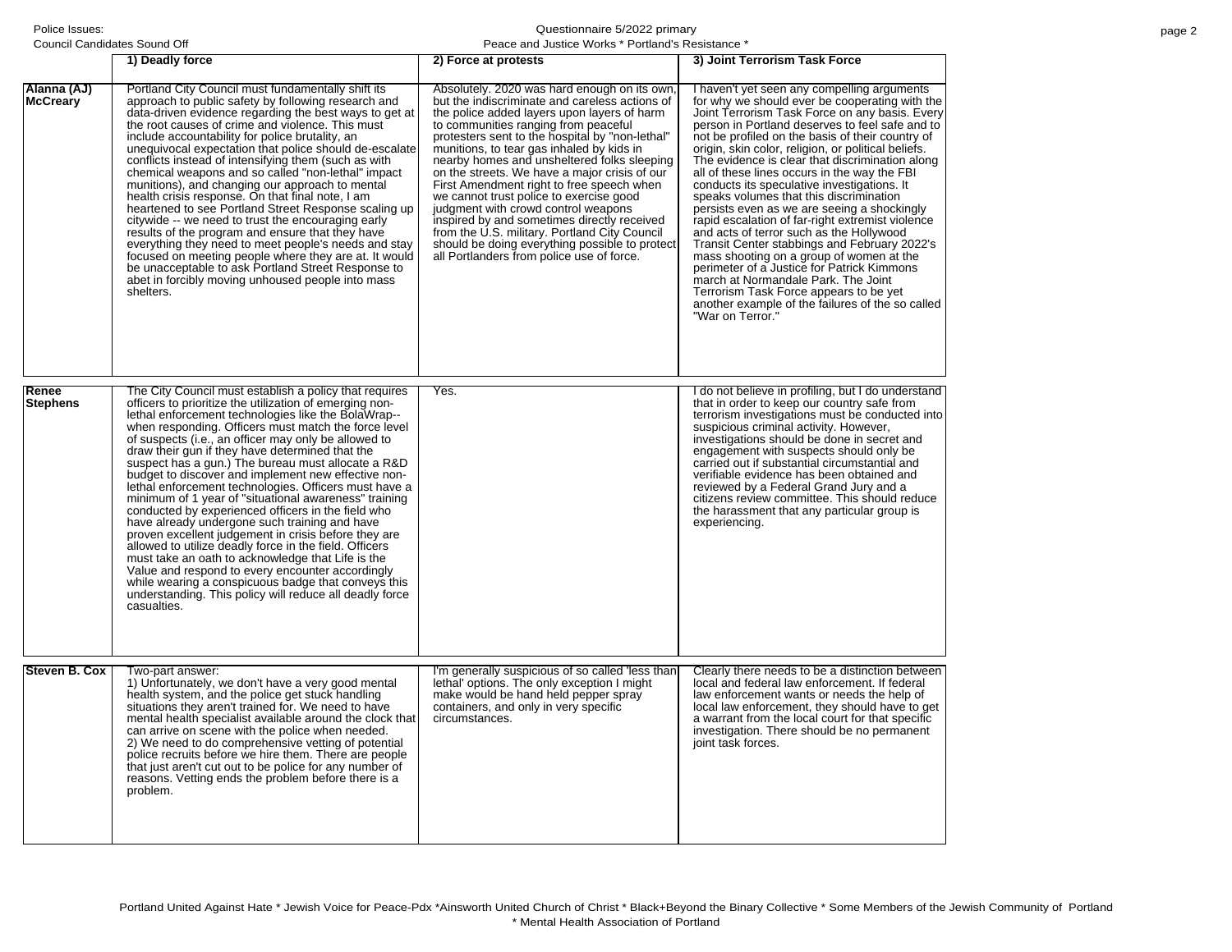|                                | 1) Deadly force                                                                                                                                                                                                                                                                                                                                                                                                                                                                                                                                                                                                                                                                                                                                                                                                                                                                                                                                                                     | 2) Force at protests                                                                                                                                                                                                                                                                                                                                                                                                                                                                                                                                                                                                                                                                                               | 3) Joint Terrorism Task Force                                                                                                                                                                                                                                                                                                                                                                                                                                                                                                                                                                                                                                                                                                                                                                                                                                                                                                                                |
|--------------------------------|-------------------------------------------------------------------------------------------------------------------------------------------------------------------------------------------------------------------------------------------------------------------------------------------------------------------------------------------------------------------------------------------------------------------------------------------------------------------------------------------------------------------------------------------------------------------------------------------------------------------------------------------------------------------------------------------------------------------------------------------------------------------------------------------------------------------------------------------------------------------------------------------------------------------------------------------------------------------------------------|--------------------------------------------------------------------------------------------------------------------------------------------------------------------------------------------------------------------------------------------------------------------------------------------------------------------------------------------------------------------------------------------------------------------------------------------------------------------------------------------------------------------------------------------------------------------------------------------------------------------------------------------------------------------------------------------------------------------|--------------------------------------------------------------------------------------------------------------------------------------------------------------------------------------------------------------------------------------------------------------------------------------------------------------------------------------------------------------------------------------------------------------------------------------------------------------------------------------------------------------------------------------------------------------------------------------------------------------------------------------------------------------------------------------------------------------------------------------------------------------------------------------------------------------------------------------------------------------------------------------------------------------------------------------------------------------|
| Alanna (AJ)<br><b>McCreary</b> | Portland City Council must fundamentally shift its<br>approach to public safety by following research and<br>data-driven evidence regarding the best ways to get at<br>the root causes of crime and violence. This must<br>include accountability for police brutality, an<br>unequivocal expectation that police should de-escalate<br>conflicts instead of intensifying them (such as with<br>chemical weapons and so called "non-lethal" impact<br>munitions), and changing our approach to mental<br>health crisis response. On that final note, I am<br>heartened to see Portland Street Response scaling up<br>citywide -- we need to trust the encouraging early<br>results of the program and ensure that they have<br>everything they need to meet people's needs and stay<br>focused on meeting people where they are at. It would<br>be unacceptable to ask Portland Street Response to<br>abet in forcibly moving unhoused people into mass<br>shelters.                | Absolutely. 2020 was hard enough on its own<br>but the indiscriminate and careless actions of<br>the police added layers upon layers of harm<br>to communities ranging from peaceful<br>protesters sent to the hospital by "non-lethal"<br>munitions, to tear gas inhaled by kids in<br>nearby homes and unsheltered folks sleeping<br>on the streets. We have a major crisis of our<br>First Amendment right to free speech when<br>we cannot trust police to exercise good<br>judgment with crowd control weapons<br>inspired by and sometimes directly received<br>from the U.S. military. Portland City Council<br>should be doing everything possible to protect<br>all Portlanders from police use of force. | I haven't yet seen any compelling arguments<br>for why we should ever be cooperating with the<br>Joint Terrorism Task Force on any basis. Every<br>person in Portland deserves to feel safe and to<br>not be profiled on the basis of their country of<br>origin, skin color, religion, or political beliefs.<br>The evidence is clear that discrimination along<br>all of these lines occurs in the way the FBI<br>conducts its speculative investigations. It<br>speaks volumes that this discrimination<br>persists even as we are seeing a shockingly<br>rapid escalation of far-right extremist violence<br>and acts of terror such as the Hollywood<br>Transit Center stabbings and February 2022's<br>mass shooting on a group of women at the<br>perimeter of a Justice for Patrick Kimmons<br>march at Normandale Park. The Joint<br>Terrorism Task Force appears to be yet<br>another example of the failures of the so called<br>"War on Terror." |
| Renee                          | The City Council must establish a policy that requires                                                                                                                                                                                                                                                                                                                                                                                                                                                                                                                                                                                                                                                                                                                                                                                                                                                                                                                              | Yes.                                                                                                                                                                                                                                                                                                                                                                                                                                                                                                                                                                                                                                                                                                               | I do not believe in profiling, but I do understand                                                                                                                                                                                                                                                                                                                                                                                                                                                                                                                                                                                                                                                                                                                                                                                                                                                                                                           |
| <b>Stephens</b>                | officers to prioritize the utilization of emerging non-<br>lethal enforcement technologies like the BolaWrap--<br>when responding. Officers must match the force level<br>of suspects (i.e., an officer may only be allowed to<br>draw their gun if they have determined that the<br>suspect has a gun.) The bureau must allocate a R&D<br>budget to discover and implement new effective non-<br>lethal enforcement technologies. Officers must have a<br>minimum of 1 year of "situational awareness" training<br>conducted by experienced officers in the field who<br>have already undergone such training and have<br>proven excellent judgement in crisis before they are<br>allowed to utilize deadly force in the field. Officers<br>must take an oath to acknowledge that Life is the<br>Value and respond to every encounter accordingly<br>while wearing a conspicuous badge that conveys this<br>understanding. This policy will reduce all deadly force<br>casualties. |                                                                                                                                                                                                                                                                                                                                                                                                                                                                                                                                                                                                                                                                                                                    | that in order to keep our country safe from<br>terrorism investigations must be conducted into<br>suspicious criminal activity. However,<br>investigations should be done in secret and<br>engagement with suspects should only be<br>carried out if substantial circumstantial and<br>verifiable evidence has been obtained and<br>reviewed by a Federal Grand Jury and a<br>citizens review committee. This should reduce<br>the harassment that any particular group is<br>experiencing.                                                                                                                                                                                                                                                                                                                                                                                                                                                                  |
| Steven B. Cox                  | Two-part answer:                                                                                                                                                                                                                                                                                                                                                                                                                                                                                                                                                                                                                                                                                                                                                                                                                                                                                                                                                                    | I'm generally suspicious of so called 'less than                                                                                                                                                                                                                                                                                                                                                                                                                                                                                                                                                                                                                                                                   | Clearly there needs to be a distinction between                                                                                                                                                                                                                                                                                                                                                                                                                                                                                                                                                                                                                                                                                                                                                                                                                                                                                                              |
|                                | 1) Unfortunately, we don't have a very good mental<br>health system, and the police get stuck handling<br>situations they aren't trained for. We need to have<br>mental health specialist available around the clock that<br>can arrive on scene with the police when needed.<br>2) We need to do comprehensive vetting of potential<br>police recruits before we hire them. There are people<br>that just aren't cut out to be police for any number of<br>reasons. Vetting ends the problem before there is a<br>problem.                                                                                                                                                                                                                                                                                                                                                                                                                                                         | lethal' options. The only exception I might<br>make would be hand held pepper spray<br>containers, and only in very specific<br>circumstances.                                                                                                                                                                                                                                                                                                                                                                                                                                                                                                                                                                     | local and federal law enforcement. If federal<br>law enforcement wants or needs the help of<br>local law enforcement, they should have to get<br>a warrant from the local court for that specific<br>investigation. There should be no permanent<br>joint task forces.                                                                                                                                                                                                                                                                                                                                                                                                                                                                                                                                                                                                                                                                                       |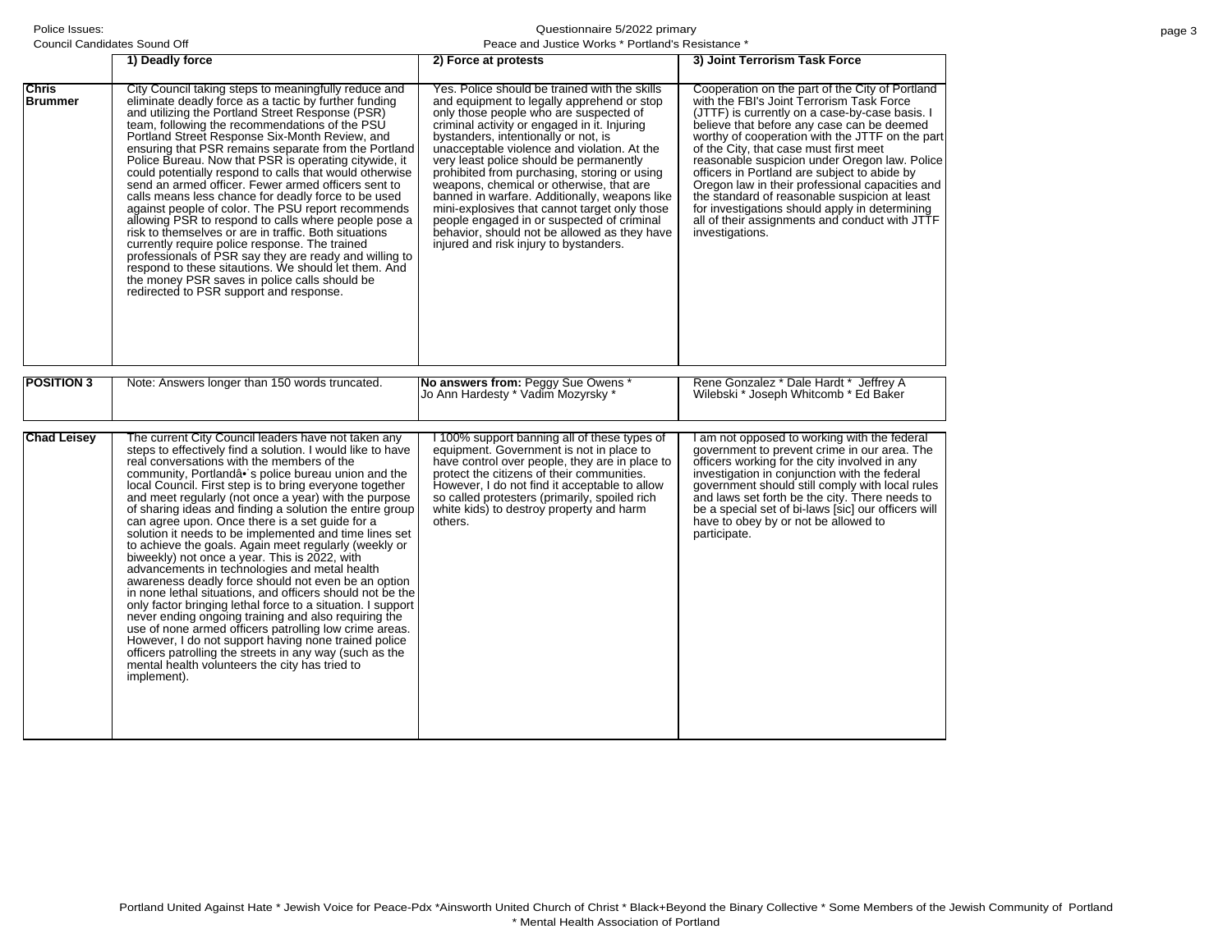| Council Candidates Sound Off |                                                                                                                                                                                                                                                                                                                                                                                                                                                                                                                                                                                                                                                                                                                                                                                                                                                                                                                                                                                                                                                                                                                                                                         | Peace and Justice Works * Portland's Resistance *                                                                                                                                                                                                                                                                                                                                                                                                                                                                                                                                                                                                             |                                                                                                                                                                                                                                                                                                                                                                                                                                                                                                                                                                                                                       |  |
|------------------------------|-------------------------------------------------------------------------------------------------------------------------------------------------------------------------------------------------------------------------------------------------------------------------------------------------------------------------------------------------------------------------------------------------------------------------------------------------------------------------------------------------------------------------------------------------------------------------------------------------------------------------------------------------------------------------------------------------------------------------------------------------------------------------------------------------------------------------------------------------------------------------------------------------------------------------------------------------------------------------------------------------------------------------------------------------------------------------------------------------------------------------------------------------------------------------|---------------------------------------------------------------------------------------------------------------------------------------------------------------------------------------------------------------------------------------------------------------------------------------------------------------------------------------------------------------------------------------------------------------------------------------------------------------------------------------------------------------------------------------------------------------------------------------------------------------------------------------------------------------|-----------------------------------------------------------------------------------------------------------------------------------------------------------------------------------------------------------------------------------------------------------------------------------------------------------------------------------------------------------------------------------------------------------------------------------------------------------------------------------------------------------------------------------------------------------------------------------------------------------------------|--|
|                              | 1) Deadly force                                                                                                                                                                                                                                                                                                                                                                                                                                                                                                                                                                                                                                                                                                                                                                                                                                                                                                                                                                                                                                                                                                                                                         | 2) Force at protests                                                                                                                                                                                                                                                                                                                                                                                                                                                                                                                                                                                                                                          | 3) Joint Terrorism Task Force                                                                                                                                                                                                                                                                                                                                                                                                                                                                                                                                                                                         |  |
| Chris<br><b>Brummer</b>      | City Council taking steps to meaningfully reduce and<br>eliminate deadly force as a tactic by further funding<br>and utilizing the Portland Street Response (PSR)<br>team, following the recommendations of the PSU<br>Portland Street Response Six-Month Review, and<br>ensuring that PSR remains separate from the Portland<br>Police Bureau. Now that PSR is operating citywide, it<br>could potentially respond to calls that would otherwise<br>send an armed officer. Fewer armed officers sent to<br>calls means less chance for deadly force to be used<br>against people of color. The PSU report recommends<br>allowing PSR to respond to calls where people pose a<br>risk to themselves or are in traffic. Both situations<br>currently require police response. The trained<br>professionals of PSR say they are ready and willing to<br>respond to these sitautions. We should let them. And<br>the money PSR saves in police calls should be<br>redirected to PSR support and response.                                                                                                                                                                  | Yes. Police should be trained with the skills<br>and equipment to legally apprehend or stop<br>only those people who are suspected of<br>criminal activity or engaged in it. Injuring<br>bystanders, intentionally or not, is<br>unacceptable violence and violation. At the<br>very least police should be permanently<br>prohibited from purchasing, storing or using<br>weapons, chemical or otherwise, that are<br>banned in warfare. Additionally, weapons like<br>mini-explosives that cannot target only those<br>people engaged in or suspected of criminal<br>behavior, should not be allowed as they have<br>injured and risk injury to bystanders. | Cooperation on the part of the City of Portland<br>with the FBI's Joint Terrorism Task Force<br>(JTTF) is currently on a case-by-case basis. I<br>believe that before any case can be deemed<br>worthy of cooperation with the JTTF on the part<br>of the City, that case must first meet<br>reasonable suspicion under Oregon law. Police<br>officers in Portland are subject to abide by<br>Oregon law in their professional capacities and<br>the standard of reasonable suspicion at least<br>for investigations should apply in determining<br>all of their assignments and conduct with JTTF<br>investigations. |  |
| <b>POSITION 3</b>            | Note: Answers longer than 150 words truncated.                                                                                                                                                                                                                                                                                                                                                                                                                                                                                                                                                                                                                                                                                                                                                                                                                                                                                                                                                                                                                                                                                                                          | No answers from: Peggy Sue Owens *                                                                                                                                                                                                                                                                                                                                                                                                                                                                                                                                                                                                                            | Rene Gonzalez * Dale Hardt * Jeffrey A                                                                                                                                                                                                                                                                                                                                                                                                                                                                                                                                                                                |  |
|                              |                                                                                                                                                                                                                                                                                                                                                                                                                                                                                                                                                                                                                                                                                                                                                                                                                                                                                                                                                                                                                                                                                                                                                                         | Jo Ann Hardesty * Vadim Mozyrsky *                                                                                                                                                                                                                                                                                                                                                                                                                                                                                                                                                                                                                            | Wilebski * Joseph Whitcomb * Ed Baker                                                                                                                                                                                                                                                                                                                                                                                                                                                                                                                                                                                 |  |
| <b>Chad Leisey</b>           | The current City Council leaders have not taken any<br>steps to effectively find a solution. I would like to have<br>real conversations with the members of the<br>community, Portlandâ• s police bureau union and the<br>local Council. First step is to bring everyone together<br>and meet regularly (not once a year) with the purpose<br>of sharing ideas and finding a solution the entire group<br>can agree upon. Once there is a set guide for a<br>solution it needs to be implemented and time lines set<br>to achieve the goals. Again meet regularly (weekly or<br>biweekly) not once a year. This is 2022, with<br>advancements in technologies and metal health<br>awareness deadly force should not even be an option<br>in none lethal situations, and officers should not be the<br>only factor bringing lethal force to a situation. I support<br>never ending ongoing training and also requiring the<br>use of none armed officers patrolling low crime areas.<br>However, I do not support having none trained police<br>officers patrolling the streets in any way (such as the<br>mental health volunteers the city has tried to<br>implement). | I 100% support banning all of these types of<br>equipment. Government is not in place to<br>have control over people, they are in place to<br>protect the citizens of their communities.<br>However, I do not find it acceptable to allow<br>so called protesters (primarily, spoiled rich<br>white kids) to destroy property and harm<br>others.                                                                                                                                                                                                                                                                                                             | I am not opposed to working with the federal<br>government to prevent crime in our area. The<br>officers working for the city involved in any<br>investigation in conjunction with the federal<br>government should still comply with local rules<br>and laws set forth be the city. There needs to<br>be a special set of bi-laws [sic] our officers will<br>have to obey by or not be allowed to<br>participate.                                                                                                                                                                                                    |  |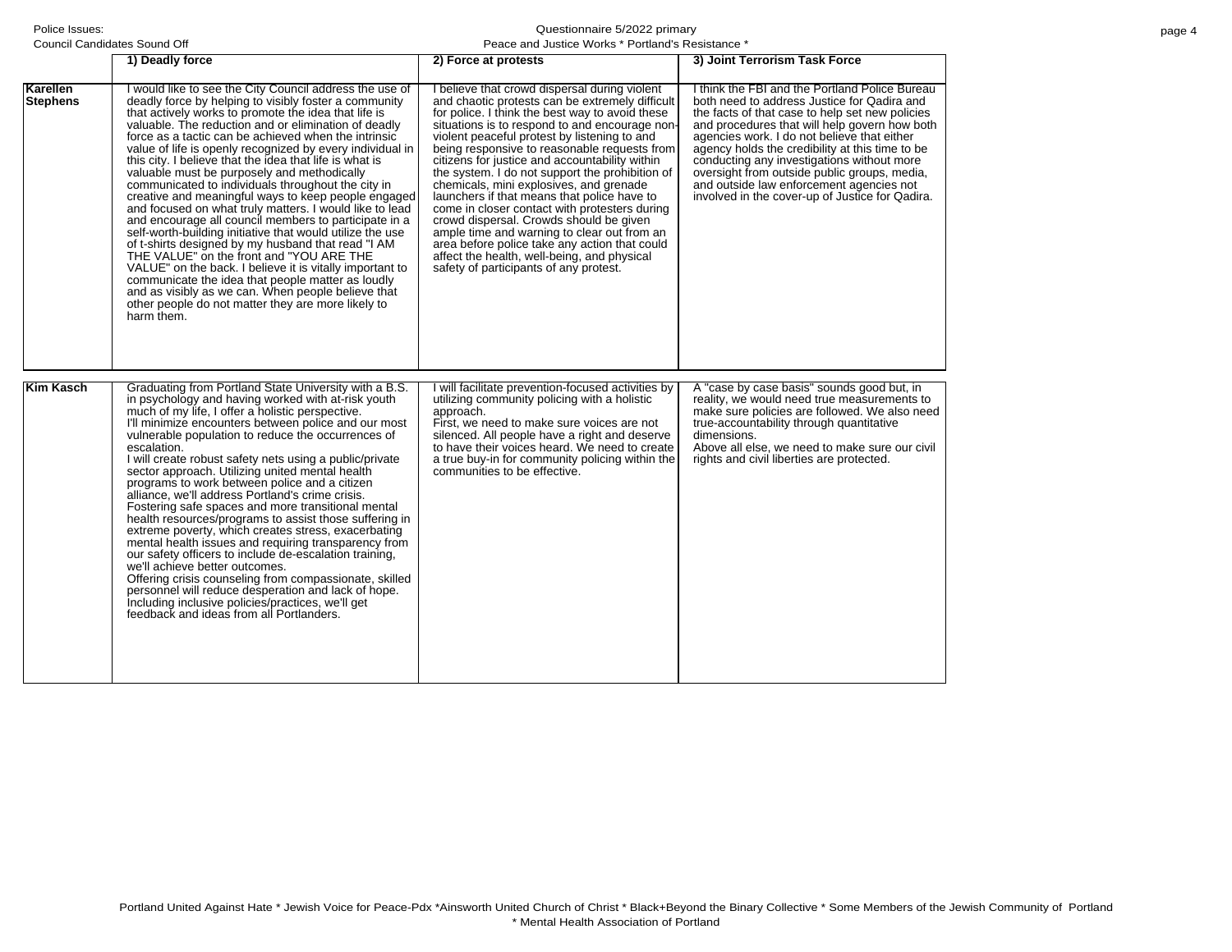| Council Candidates Sound Off |                                                                                                                                                                                                                                                                                                                                                                                                                                                                                                                                                                                                                                                                                                                                                                                                                                                                                                                                                                                                                                                                                                            | Peace and Justice Works * Portland's Resistance *                                                                                                                                                                                                                                                                                                                                                                                                                                                                                                                                                                                                                                                                                                                                         |                                                                                                                                                                                                                                                                                                                                                                                                                                                                                                  |  |  |
|------------------------------|------------------------------------------------------------------------------------------------------------------------------------------------------------------------------------------------------------------------------------------------------------------------------------------------------------------------------------------------------------------------------------------------------------------------------------------------------------------------------------------------------------------------------------------------------------------------------------------------------------------------------------------------------------------------------------------------------------------------------------------------------------------------------------------------------------------------------------------------------------------------------------------------------------------------------------------------------------------------------------------------------------------------------------------------------------------------------------------------------------|-------------------------------------------------------------------------------------------------------------------------------------------------------------------------------------------------------------------------------------------------------------------------------------------------------------------------------------------------------------------------------------------------------------------------------------------------------------------------------------------------------------------------------------------------------------------------------------------------------------------------------------------------------------------------------------------------------------------------------------------------------------------------------------------|--------------------------------------------------------------------------------------------------------------------------------------------------------------------------------------------------------------------------------------------------------------------------------------------------------------------------------------------------------------------------------------------------------------------------------------------------------------------------------------------------|--|--|
|                              | 1) Deadly force                                                                                                                                                                                                                                                                                                                                                                                                                                                                                                                                                                                                                                                                                                                                                                                                                                                                                                                                                                                                                                                                                            | 2) Force at protests                                                                                                                                                                                                                                                                                                                                                                                                                                                                                                                                                                                                                                                                                                                                                                      | 3) Joint Terrorism Task Force                                                                                                                                                                                                                                                                                                                                                                                                                                                                    |  |  |
| Karellen<br><b>Stephens</b>  | I would like to see the City Council address the use of<br>deadly force by helping to visibly foster a community<br>that actively works to promote the idea that life is<br>valuable. The reduction and or elimination of deadly<br>force as a tactic can be achieved when the intrinsic<br>value of life is openly recognized by every individual in<br>this city. I believe that the idea that life is what is<br>valuable must be purposely and methodically<br>communicated to individuals throughout the city in<br>creative and meaningful ways to keep people engaged<br>and focused on what truly matters. I would like to lead<br>and encourage all council members to participate in a<br>self-worth-building initiative that would utilize the use<br>of t-shirts designed by my husband that read "I AM<br>THE VALUE" on the front and "YOU ARE THE<br>VALUE" on the back. I believe it is vitally important to<br>communicate the idea that people matter as loudly<br>and as visibly as we can. When people believe that<br>other people do not matter they are more likely to<br>harm them. | I believe that crowd dispersal during violent<br>and chaotic protests can be extremely difficult<br>for police. I think the best way to avoid these<br>situations is to respond to and encourage non-<br>violent peaceful protest by listening to and<br>being responsive to reasonable requests from<br>citizens for justice and accountability within<br>the system. I do not support the prohibition of<br>chemicals, mini explosives, and grenade<br>launchers if that means that police have to<br>come in closer contact with protesters during<br>crowd dispersal. Crowds should be given<br>ample time and warning to clear out from an<br>area before police take any action that could<br>affect the health, well-being, and physical<br>safety of participants of any protest. | I think the FBI and the Portland Police Bureau<br>both need to address Justice for Qadira and<br>the facts of that case to help set new policies<br>and procedures that will help govern how both<br>agencies work. I do not believe that either<br>agency holds the credibility at this time to be<br>conducting any investigations without more<br>oversight from outside public groups, media,<br>and outside law enforcement agencies not<br>involved in the cover-up of Justice for Qadira. |  |  |
| <b>Kim Kasch</b>             | Graduating from Portland State University with a B.S.<br>in psychology and having worked with at-risk youth<br>much of my life, I offer a holistic perspective.<br>I'll minimize encounters between police and our most<br>vulnerable population to reduce the occurrences of<br>escalation.<br>I will create robust safety nets using a public/private<br>sector approach. Utilizing united mental health<br>programs to work between police and a citizen<br>alliance, we'll address Portland's crime crisis.<br>Fostering safe spaces and more transitional mental<br>health resources/programs to assist those suffering in<br>extreme poverty, which creates stress, exacerbating<br>mental health issues and requiring transparency from<br>our safety officers to include de-escalation training.<br>we'll achieve better outcomes.<br>Offering crisis counseling from compassionate, skilled<br>personnel will reduce desperation and lack of hope.<br>Including inclusive policies/practices, we'll get<br>feedback and ideas from all Portlanders.                                               | I will facilitate prevention-focused activities by<br>utilizing community policing with a holistic<br>approach.<br>First, we need to make sure voices are not<br>silenced. All people have a right and deserve<br>to have their voices heard. We need to create<br>a true buy-in for community policing within the<br>communities to be effective.                                                                                                                                                                                                                                                                                                                                                                                                                                        | A "case by case basis" sounds good but, in<br>reality, we would need true measurements to<br>make sure policies are followed. We also need<br>true-accountability through quantitative<br>dimensions.<br>Above all else, we need to make sure our civil<br>rights and civil liberties are protected.                                                                                                                                                                                             |  |  |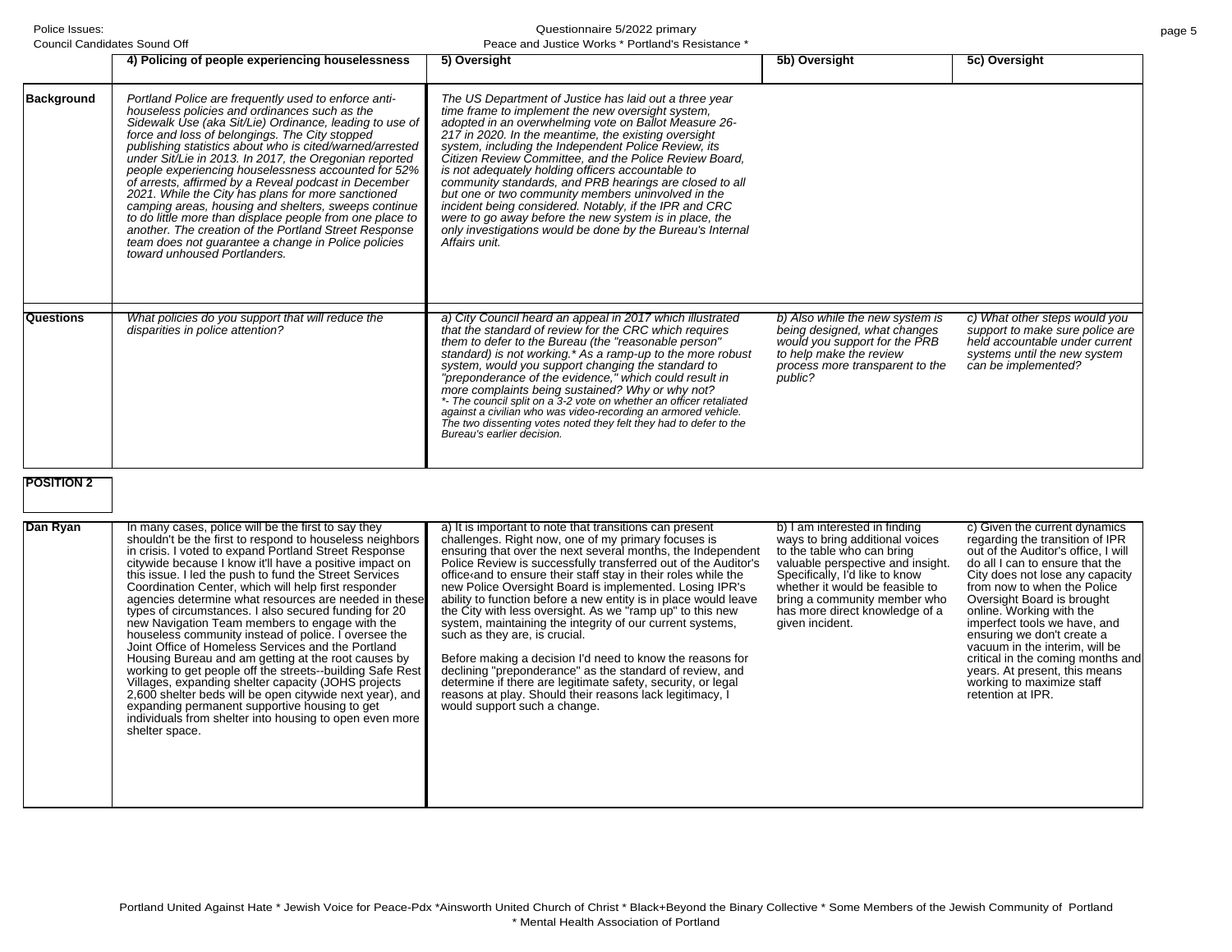Questionnaire 5/2022 primary

|                                | Council Candidates Sound Off                                                                                                                                                                                                                                                                                                                                                                                                                                                                                                                                                                                                                                                                                                                                                      | Peace and Justice Works * Portland's Resistance *                                                                                                                                                                                                                                                                                                                                                                                                                                                                                                                                                                                                                                                                       |                                                                                                                                                                           |                                                                                                                                                           |
|--------------------------------|-----------------------------------------------------------------------------------------------------------------------------------------------------------------------------------------------------------------------------------------------------------------------------------------------------------------------------------------------------------------------------------------------------------------------------------------------------------------------------------------------------------------------------------------------------------------------------------------------------------------------------------------------------------------------------------------------------------------------------------------------------------------------------------|-------------------------------------------------------------------------------------------------------------------------------------------------------------------------------------------------------------------------------------------------------------------------------------------------------------------------------------------------------------------------------------------------------------------------------------------------------------------------------------------------------------------------------------------------------------------------------------------------------------------------------------------------------------------------------------------------------------------------|---------------------------------------------------------------------------------------------------------------------------------------------------------------------------|-----------------------------------------------------------------------------------------------------------------------------------------------------------|
|                                | 4) Policing of people experiencing houselessness                                                                                                                                                                                                                                                                                                                                                                                                                                                                                                                                                                                                                                                                                                                                  | 5) Oversight                                                                                                                                                                                                                                                                                                                                                                                                                                                                                                                                                                                                                                                                                                            | 5b) Oversight                                                                                                                                                             | 5c) Oversight                                                                                                                                             |
| <b>Background</b>              | Portland Police are frequently used to enforce anti-<br>houseless policies and ordinances such as the<br>Sidewalk Use (aka Sit/Lie) Ordinance, leading to use of<br>force and loss of belongings. The City stopped<br>publishing statistics about who is cited/warned/arrested<br>under Sit/Lie in 2013. In 2017, the Oregonian reported<br>people experiencing houselessness accounted for 52%<br>of arrests, affirmed by a Reveal podcast in December<br>2021. While the City has plans for more sanctioned<br>camping areas, housing and shelters, sweeps continue<br>to do little more than displace people from one place to<br>another. The creation of the Portland Street Response<br>team does not guarantee a change in Police policies<br>toward unhoused Portlanders. | The US Department of Justice has laid out a three year<br>time frame to implement the new oversight system,<br>adopted in an overwhelming vote on Ballot Measure 26-<br>217 in 2020. In the meantime, the existing oversight<br>system, including the Independent Police Review, its<br>Citizen Review Committee, and the Police Review Board,<br>is not adequately holding officers accountable to<br>community standards, and PRB hearings are closed to all<br>but one or two community members uninvolved in the<br>incident being considered. Notably, if the IPR and CRC<br>were to go away before the new system is in place, the<br>only investigations would be done by the Bureau's Internal<br>Affairs unit. |                                                                                                                                                                           |                                                                                                                                                           |
| Questions<br><b>POSITION 2</b> | What policies do you support that will reduce the<br>disparities in police attention?                                                                                                                                                                                                                                                                                                                                                                                                                                                                                                                                                                                                                                                                                             | a) City Council heard an appeal in 2017 which illustrated<br>that the standard of review for the CRC which requires<br>them to defer to the Bureau (the "reasonable person"<br>standard) is not working.* As a ramp-up to the more robust<br>system, would you support changing the standard to<br>"preponderance of the evidence," which could result in<br>more complaints being sustained? Why or why not?<br>*- The council split on a 3-2 vote on whether an officer retaliated<br>against a civilian who was video-recording an armored vehicle.<br>The two dissenting votes noted they felt they had to defer to the<br>Bureau's earlier decision.                                                               | b) Also while the new system is<br>being designed, what changes<br>would you support for the PRB<br>to help make the review<br>process more transparent to the<br>public? | c) What other steps would you<br>support to make sure police are<br>held accountable under current<br>systems until the new system<br>can be implemented? |
| Dan Ryan                       | In many cases, police will be the first to say they                                                                                                                                                                                                                                                                                                                                                                                                                                                                                                                                                                                                                                                                                                                               | a) It is important to note that transitions can present                                                                                                                                                                                                                                                                                                                                                                                                                                                                                                                                                                                                                                                                 | b) I am interested in finding                                                                                                                                             | c) Given the current dynamics                                                                                                                             |

| Dan Ryan | In many cases, police will be the first to say they<br>shouldn't be the first to respond to houseless neighbors<br>in crisis. I voted to expand Portland Street Response<br>citywide because I know it'll have a positive impact on<br>this issue. I led the push to fund the Street Services<br>Coordination Center, which will help first responder<br>agencies determine what resources are needed in these<br>types of circumstances. I also secured funding for 20<br>new Navigation Team members to engage with the<br>houseless community instead of police. I oversee the<br>Joint Office of Homeless Services and the Portland<br>Housing Bureau and am getting at the root causes by<br>working to get people off the streets--building Safe Rest<br>Villages, expanding shelter capacity (JOHS projects<br>2,600 shelter beds will be open citywide next year), and<br>expanding permanent supportive housing to get<br>individuals from shelter into housing to open even more<br>shelter space. | a) It is important to note that transitions can present<br>challenges. Right now, one of my primary focuses is<br>ensuring that over the next several months, the Independent<br>Police Review is successfully transferred out of the Auditor's<br>office and to ensure their staff stay in their roles while the<br>new Police Oversight Board is implemented. Losing IPR's<br>ability to function before a new entity is in place would leave<br>the City with less oversight. As we "ramp up" to this new<br>system, maintaining the integrity of our current systems,<br>such as they are, is crucial.<br>Before making a decision I'd need to know the reasons for<br>declining "preponderance" as the standard of review, and<br>determine if there are legitimate safety, security, or legal<br>reasons at play. Should their reasons lack legitimacy, I<br>would support such a change. | b) I am interested in finding<br>ways to bring additional voices<br>to the table who can bring<br>valuable perspective and insight.<br>Specifically, I'd like to know<br>whether it would be feasible to<br>bring a community member who<br>has more direct knowledge of a<br>given incident. | c) Given the current dynamics<br>regarding the transition of IPR<br>out of the Auditor's office, I will<br>do all I can to ensure that the<br>City does not lose any capacity<br>from now to when the Police<br>Oversight Board is brought<br>online. Working with the<br>imperfect tools we have, and<br>ensuring we don't create a<br>vacuum in the interim, will be<br>critical in the coming months and<br>years. At present, this means<br>working to maximize staff<br>retention at IPR. |
|----------|--------------------------------------------------------------------------------------------------------------------------------------------------------------------------------------------------------------------------------------------------------------------------------------------------------------------------------------------------------------------------------------------------------------------------------------------------------------------------------------------------------------------------------------------------------------------------------------------------------------------------------------------------------------------------------------------------------------------------------------------------------------------------------------------------------------------------------------------------------------------------------------------------------------------------------------------------------------------------------------------------------------|-------------------------------------------------------------------------------------------------------------------------------------------------------------------------------------------------------------------------------------------------------------------------------------------------------------------------------------------------------------------------------------------------------------------------------------------------------------------------------------------------------------------------------------------------------------------------------------------------------------------------------------------------------------------------------------------------------------------------------------------------------------------------------------------------------------------------------------------------------------------------------------------------|-----------------------------------------------------------------------------------------------------------------------------------------------------------------------------------------------------------------------------------------------------------------------------------------------|------------------------------------------------------------------------------------------------------------------------------------------------------------------------------------------------------------------------------------------------------------------------------------------------------------------------------------------------------------------------------------------------------------------------------------------------------------------------------------------------|
|----------|--------------------------------------------------------------------------------------------------------------------------------------------------------------------------------------------------------------------------------------------------------------------------------------------------------------------------------------------------------------------------------------------------------------------------------------------------------------------------------------------------------------------------------------------------------------------------------------------------------------------------------------------------------------------------------------------------------------------------------------------------------------------------------------------------------------------------------------------------------------------------------------------------------------------------------------------------------------------------------------------------------------|-------------------------------------------------------------------------------------------------------------------------------------------------------------------------------------------------------------------------------------------------------------------------------------------------------------------------------------------------------------------------------------------------------------------------------------------------------------------------------------------------------------------------------------------------------------------------------------------------------------------------------------------------------------------------------------------------------------------------------------------------------------------------------------------------------------------------------------------------------------------------------------------------|-----------------------------------------------------------------------------------------------------------------------------------------------------------------------------------------------------------------------------------------------------------------------------------------------|------------------------------------------------------------------------------------------------------------------------------------------------------------------------------------------------------------------------------------------------------------------------------------------------------------------------------------------------------------------------------------------------------------------------------------------------------------------------------------------------|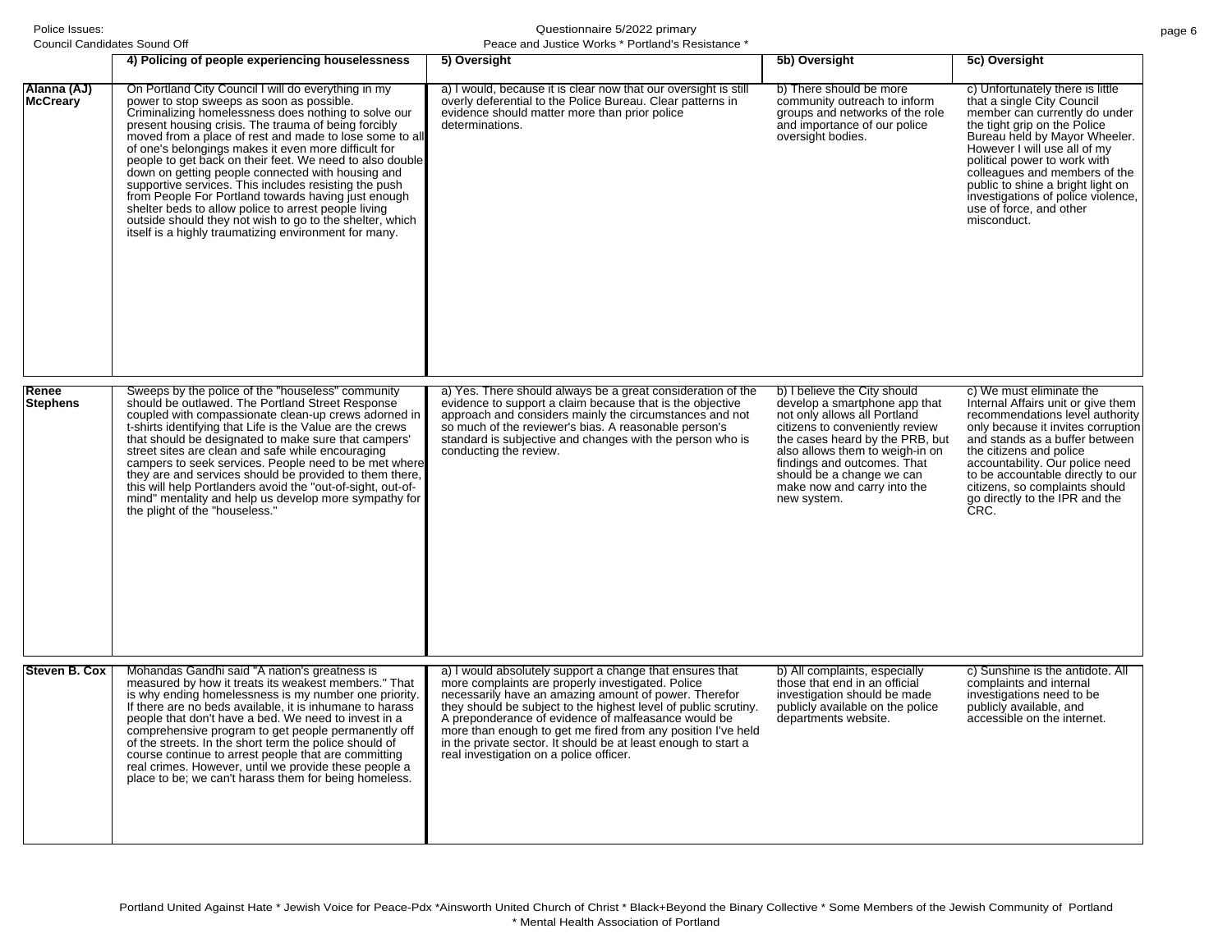**Alanna (AJ) McCreary**

Council Candidates Sound Off

| <del>c</del> ə ouunu Un                                                                                                                                                                                                                                                                                                                                                                                                                                                                                                                                                                                                                                                                                                                           | Feace and Justice WOINS FUITIGHTS NESISTATICE                                                                                                                                                     |                                                                                                                                                 |                                                                                                                                                                                                                                                                                                                                                                                        |
|---------------------------------------------------------------------------------------------------------------------------------------------------------------------------------------------------------------------------------------------------------------------------------------------------------------------------------------------------------------------------------------------------------------------------------------------------------------------------------------------------------------------------------------------------------------------------------------------------------------------------------------------------------------------------------------------------------------------------------------------------|---------------------------------------------------------------------------------------------------------------------------------------------------------------------------------------------------|-------------------------------------------------------------------------------------------------------------------------------------------------|----------------------------------------------------------------------------------------------------------------------------------------------------------------------------------------------------------------------------------------------------------------------------------------------------------------------------------------------------------------------------------------|
| 4) Policing of people experiencing houselessness                                                                                                                                                                                                                                                                                                                                                                                                                                                                                                                                                                                                                                                                                                  | 5) Oversight                                                                                                                                                                                      | 5b) Oversight                                                                                                                                   | 5c) Oversight                                                                                                                                                                                                                                                                                                                                                                          |
| On Portland City Council I will do everything in my<br>power to stop sweeps as soon as possible.<br>Criminalizing homelessness does nothing to solve our<br>present housing crisis. The trauma of being forcibly<br>moved from a place of rest and made to lose some to all<br>of one's belongings makes it even more difficult for<br>people to get back on their feet. We need to also double<br>down on getting people connected with housing and<br>supportive services. This includes resisting the push<br>from People For Portland towards having just enough<br>shelter beds to allow police to arrest people living<br>outside should they not wish to go to the shelter, which<br>itself is a highly traumatizing environment for many. | a) I would, because it is clear now that our oversight is still<br>overly deferential to the Police Bureau. Clear patterns in<br>evidence should matter more than prior police<br>determinations. | b) There should be more<br>community outreach to inform<br>groups and networks of the role<br>and importance of our police<br>oversight bodies. | c) Unfortunately there is little<br>that a single City Council<br>member can currently do under<br>the tight grip on the Police<br>Bureau held by Mayor Wheeler.<br>However I will use all of my<br>political power to work with<br>colleagues and members of the<br>public to shine a bright light on<br>investigations of police violence,<br>use of force, and other<br>misconduct. |

| Renee<br><b>Stephens</b> | Sweeps by the police of the "houseless" community<br>should be outlawed. The Portland Street Response<br>coupled with compassionate clean-up crews adorned in<br>t-shirts identifying that Life is the Value are the crews<br>that should be designated to make sure that campers'<br>street sites are clean and safe while encouraging<br>campers to seek services. People need to be met where<br>they are and services should be provided to them there,<br>this will help Portlanders avoid the "out-of-sight, out-of-<br>mind" mentality and help us develop more sympathy for<br>the plight of the "houseless." | a) Yes. There should always be a great consideration of the<br>evidence to support a claim because that is the objective<br>approach and considers mainly the circumstances and not<br>so much of the reviewer's bias. A reasonable person's<br>standard is subjective and changes with the person who is<br>conducting the review.                                                                                                                                           | b) I believe the City should<br>develop a smartphone app that<br>not only allows all Portland<br>citizens to conveniently review<br>the cases heard by the PRB, but<br>also allows them to weigh-in on<br>findings and outcomes. That<br>should be a change we can<br>make now and carry into the<br>new system. | c) We must eliminate the<br>Internal Affairs unit or give them<br>recommendations level authority<br>only because it invites corruption<br>and stands as a buffer between<br>the citizens and police<br>accountability. Our police need<br>to be accountable directly to our<br>citizens, so complaints should<br>go directly to the IPR and the<br>ČRC. |
|--------------------------|-----------------------------------------------------------------------------------------------------------------------------------------------------------------------------------------------------------------------------------------------------------------------------------------------------------------------------------------------------------------------------------------------------------------------------------------------------------------------------------------------------------------------------------------------------------------------------------------------------------------------|-------------------------------------------------------------------------------------------------------------------------------------------------------------------------------------------------------------------------------------------------------------------------------------------------------------------------------------------------------------------------------------------------------------------------------------------------------------------------------|------------------------------------------------------------------------------------------------------------------------------------------------------------------------------------------------------------------------------------------------------------------------------------------------------------------|----------------------------------------------------------------------------------------------------------------------------------------------------------------------------------------------------------------------------------------------------------------------------------------------------------------------------------------------------------|
| Steven B. Cox            | Mohandas Gandhi said "A nation's greatness is<br>measured by how it treats its weakest members." That<br>is why ending homelessness is my number one priority.<br>If there are no beds available, it is inhumane to harass<br>people that don't have a bed. We need to invest in a<br>comprehensive program to get people permanently off<br>of the streets. In the short term the police should of<br>course continue to arrest people that are committing<br>real crimes. However, until we provide these people a<br>place to be; we can't harass them for being homeless.                                         | a) I would absolutely support a change that ensures that<br>more complaints are properly investigated. Police<br>necessarily have an amazing amount of power. Therefor<br>they should be subject to the highest level of public scrutiny.<br>A preponderance of evidence of malfeasance would be<br>more than enough to get me fired from any position I've held<br>in the private sector. It should be at least enough to start a<br>real investigation on a police officer. | b) All complaints, especially<br>those that end in an official<br>investigation should be made<br>publicly available on the police<br>departments website.                                                                                                                                                       | c) Sunshine is the antidote. All<br>complaints and internal<br>investigations need to be<br>publicly available, and<br>accessible on the internet.                                                                                                                                                                                                       |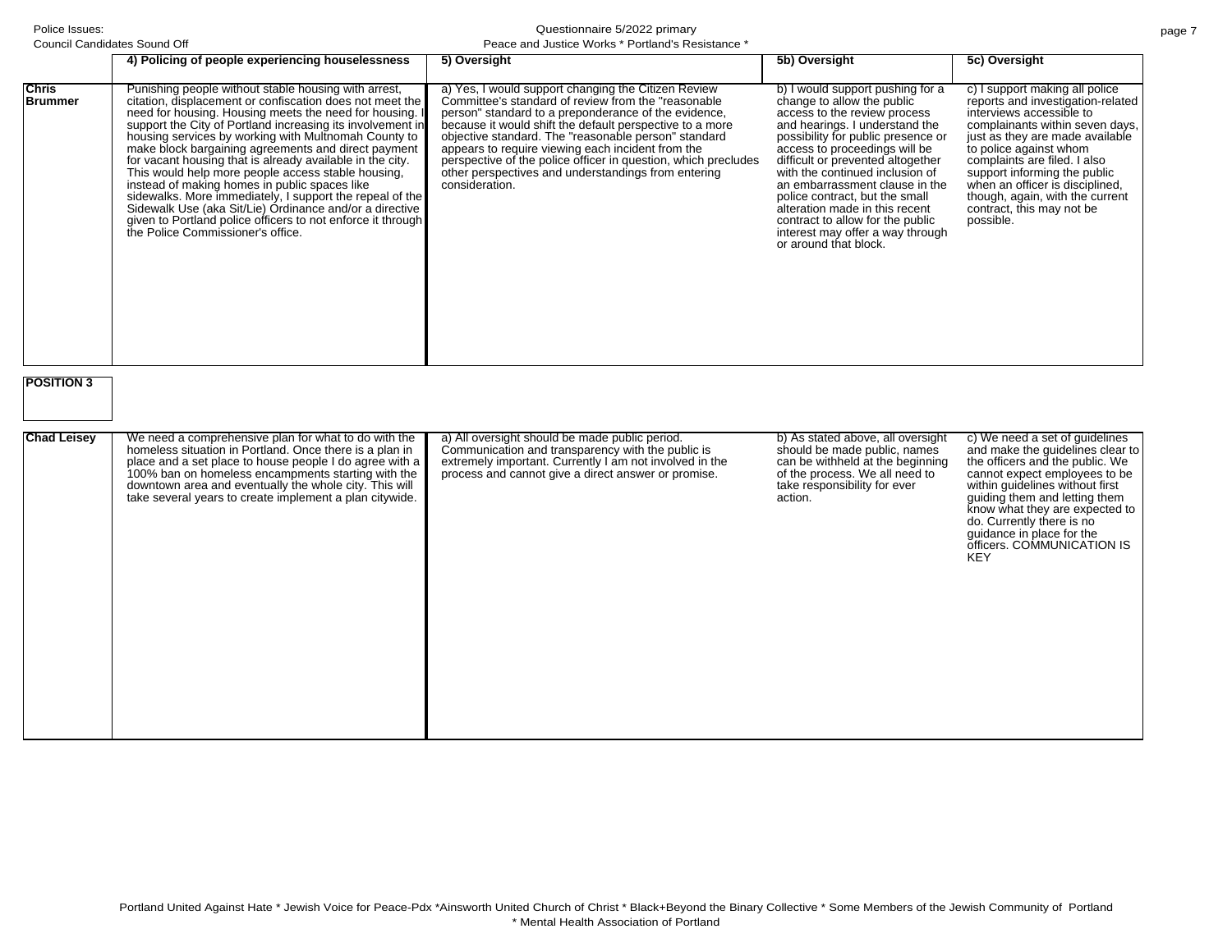| Council Candidates Sound Off                        |                                                                                                                                                                                                                                                                                                                                                                                                                                                                                                                                                                                                                                                                                                                                                         | Peace and Justice Works * Portland's Resistance *                                                                                                                                                                                                                                                                                                                                                                                                                                       |                                                                                                                                                                                                                                                                                                                                                                                                                                                                                        |                                                                                                                                                                                                                                                                                                                                                                                 |
|-----------------------------------------------------|---------------------------------------------------------------------------------------------------------------------------------------------------------------------------------------------------------------------------------------------------------------------------------------------------------------------------------------------------------------------------------------------------------------------------------------------------------------------------------------------------------------------------------------------------------------------------------------------------------------------------------------------------------------------------------------------------------------------------------------------------------|-----------------------------------------------------------------------------------------------------------------------------------------------------------------------------------------------------------------------------------------------------------------------------------------------------------------------------------------------------------------------------------------------------------------------------------------------------------------------------------------|----------------------------------------------------------------------------------------------------------------------------------------------------------------------------------------------------------------------------------------------------------------------------------------------------------------------------------------------------------------------------------------------------------------------------------------------------------------------------------------|---------------------------------------------------------------------------------------------------------------------------------------------------------------------------------------------------------------------------------------------------------------------------------------------------------------------------------------------------------------------------------|
|                                                     | 4) Policing of people experiencing houselessness                                                                                                                                                                                                                                                                                                                                                                                                                                                                                                                                                                                                                                                                                                        | 5) Oversight                                                                                                                                                                                                                                                                                                                                                                                                                                                                            | 5b) Oversight                                                                                                                                                                                                                                                                                                                                                                                                                                                                          | 5c) Oversight                                                                                                                                                                                                                                                                                                                                                                   |
| <b>Chris</b><br><b>Brummer</b><br><b>POSITION 3</b> | Punishing people without stable housing with arrest,<br>citation, displacement or confiscation does not meet the<br>need for housing. Housing meets the need for housing. I<br>support the City of Portland increasing its involvement in<br>housing services by working with Multnomah County to<br>make block bargaining agreements and direct payment<br>for vacant housing that is already available in the city.<br>This would help more people access stable housing,<br>instead of making homes in public spaces like<br>sidewalks. More immediately, I support the repeal of the<br>Sidewalk Use (aka Sit/Lie) Ordinance and/or a directive<br>given to Portland police officers to not enforce it through<br>the Police Commissioner's office. | a) Yes, I would support changing the Citizen Review<br>Committee's standard of review from the "reasonable"<br>person" standard to a preponderance of the evidence,<br>because it would shift the default perspective to a more<br>objective standard. The "reasonable person" standard<br>appears to require viewing each incident from the<br>perspective of the police officer in question, which precludes<br>other perspectives and understandings from entering<br>consideration. | b) I would support pushing for a<br>change to allow the public<br>access to the review process<br>and hearings. I understand the<br>possibility for public presence or<br>access to proceedings will be<br>difficult or prevented altogether<br>with the continued inclusion of<br>an embarrassment clause in the<br>police contract, but the small<br>alteration made in this recent<br>contract to allow for the public<br>interest may offer a way through<br>or around that block. | c) I support making all police<br>reports and investigation-related<br>interviews accessible to<br>complainants within seven days,<br>just as they are made available<br>to police against whom<br>complaints are filed. I also<br>support informing the public<br>when an officer is disciplined,<br>though, again, with the current<br>contract, this may not be<br>possible. |
| <b>Chad Leisey</b>                                  | We need a comprehensive plan for what to do with the<br>homeless situation in Portland. Once there is a plan in<br>place and a set place to house people I do agree with a<br>100% ban on homeless encampments starting with the<br>downtown area and eventually the whole city. This will<br>take several years to create implement a plan citywide.                                                                                                                                                                                                                                                                                                                                                                                                   | a) All oversight should be made public period.<br>Communication and transparency with the public is<br>extremely important. Currently I am not involved in the<br>process and cannot give a direct answer or promise.                                                                                                                                                                                                                                                                   | b) As stated above, all oversight<br>should be made public, names<br>can be withheld at the beginning<br>of the process. We all need to<br>take responsibility for ever<br>action.                                                                                                                                                                                                                                                                                                     | c) We need a set of guidelines<br>and make the guidelines clear to<br>the officers and the public. We<br>cannot expect employees to be<br>within guidelines without first<br>guiding them and letting them<br>know what they are expected to<br>do. Currently there is no<br>guidance in place for the<br>officers. COMMUNICATION IS<br><b>KEY</b>                              |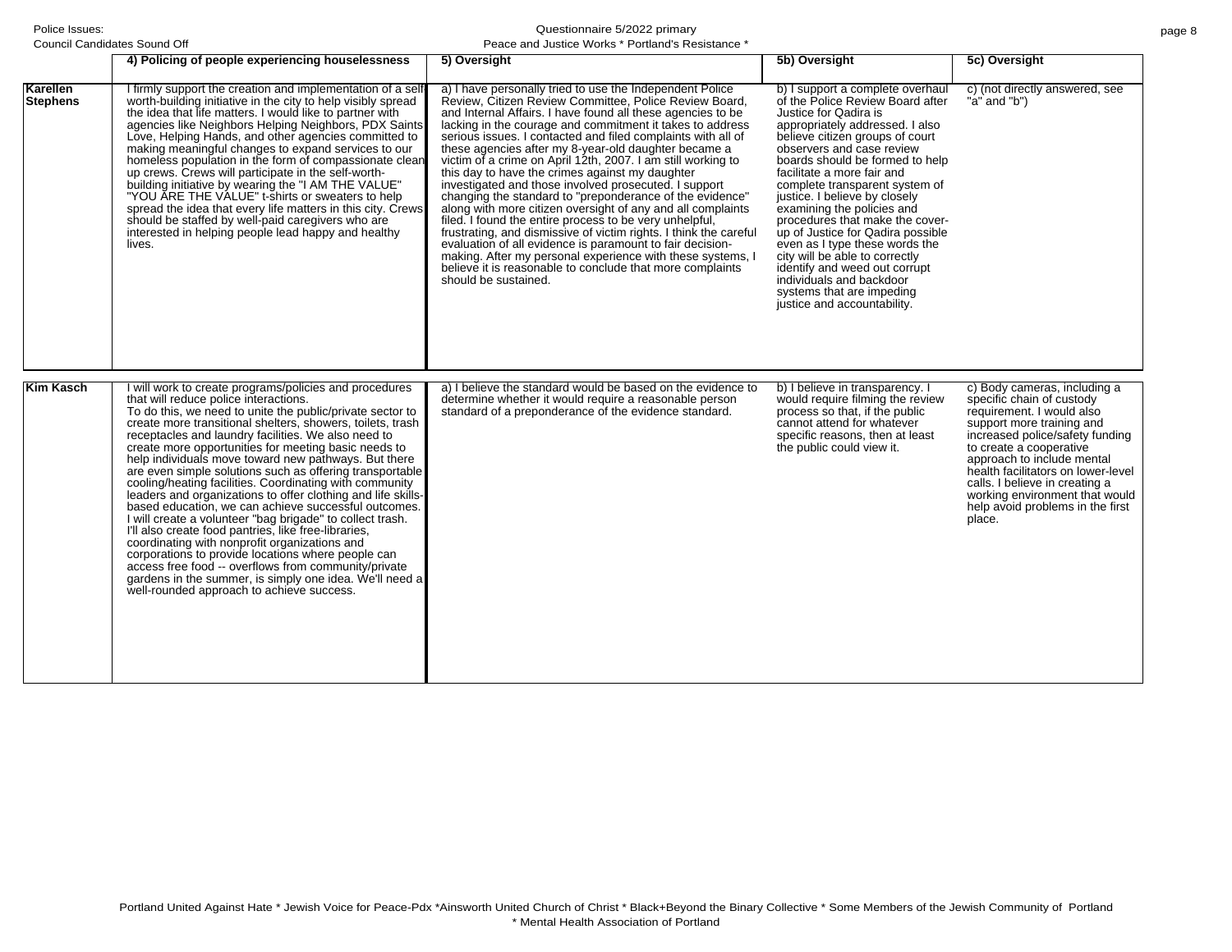|                             | 4) Policing of people experiencing houselessness                                                                                                                                                                                                                                                                                                                                                                                                                                                                                                                                                                                                                                                                                                                                                                                                                                                                                                                                                                                             | 5) Oversight                                                                                                                                                                                                                                                                                                                                                                                                                                                                                                                                                                                                                                                                                                                                                                                                                                                                                                                                                                                                                  | 5b) Oversight                                                                                                                                                                                                                                                                                                                                                                                                                                                                                                                                                                                                                           | 5c) Oversight                                                                                                                                                                                                                                                                                                                                                           |
|-----------------------------|----------------------------------------------------------------------------------------------------------------------------------------------------------------------------------------------------------------------------------------------------------------------------------------------------------------------------------------------------------------------------------------------------------------------------------------------------------------------------------------------------------------------------------------------------------------------------------------------------------------------------------------------------------------------------------------------------------------------------------------------------------------------------------------------------------------------------------------------------------------------------------------------------------------------------------------------------------------------------------------------------------------------------------------------|-------------------------------------------------------------------------------------------------------------------------------------------------------------------------------------------------------------------------------------------------------------------------------------------------------------------------------------------------------------------------------------------------------------------------------------------------------------------------------------------------------------------------------------------------------------------------------------------------------------------------------------------------------------------------------------------------------------------------------------------------------------------------------------------------------------------------------------------------------------------------------------------------------------------------------------------------------------------------------------------------------------------------------|-----------------------------------------------------------------------------------------------------------------------------------------------------------------------------------------------------------------------------------------------------------------------------------------------------------------------------------------------------------------------------------------------------------------------------------------------------------------------------------------------------------------------------------------------------------------------------------------------------------------------------------------|-------------------------------------------------------------------------------------------------------------------------------------------------------------------------------------------------------------------------------------------------------------------------------------------------------------------------------------------------------------------------|
| Karellen<br><b>Stephens</b> | I firmly support the creation and implementation of a self-<br>worth-building initiative in the city to help visibly spread<br>the idea that life matters. I would like to partner with<br>agencies like Neighbors Helping Neighbors, PDX Saints<br>Love, Helping Hands, and other agencies committed to<br>making meaningful changes to expand services to our<br>homeless population in the form of compassionate clean<br>up crews. Crews will participate in the self-worth-<br>building initiative by wearing the "I AM THE VALUE"<br>"YOU ARE THE VALUE" t-shirts or sweaters to help<br>spread the idea that every life matters in this city. Crews<br>should be staffed by well-paid caregivers who are<br>interested in helping people lead happy and healthy<br>lives.                                                                                                                                                                                                                                                             | a) I have personally tried to use the Independent Police<br>Review, Citizen Review Committee, Police Review Board,<br>and Internal Affairs. I have found all these agencies to be<br>lacking in the courage and commitment it takes to address<br>serious issues. I contacted and filed complaints with all of<br>these agencies after my 8-year-old daughter became a<br>victim of a crime on April 12th, 2007. I am still working to<br>this day to have the crimes against my daughter<br>investigated and those involved prosecuted. I support<br>changing the standard to "preponderance of the evidence"<br>along with more citizen oversight of any and all complaints<br>filed. I found the entire process to be very unhelpful,<br>frustrating, and dismissive of victim rights. I think the careful<br>evaluation of all evidence is paramount to fair decision-<br>making. After my personal experience with these systems, I<br>believe it is reasonable to conclude that more complaints<br>should be sustained. | b) I support a complete overhaul<br>of the Police Review Board after<br>Justice for Qadira is<br>appropriately addressed. I also<br>believe citizen groups of court<br>observers and case review<br>boards should be formed to help<br>facilitate a more fair and<br>complete transparent system of<br>justice. I believe by closely<br>examining the policies and<br>procedures that make the cover-<br>up of Justice for Qadira possible<br>even as I type these words the<br>city will be able to correctly<br>identify and weed out corrupt<br>individuals and backdoor<br>systems that are impeding<br>justice and accountability. | c) (not directly answered, see<br>"a" and "b")                                                                                                                                                                                                                                                                                                                          |
| Kim Kasch                   | I will work to create programs/policies and procedures<br>that will reduce police interactions.<br>To do this, we need to unite the public/private sector to<br>create more transitional shelters, showers, toilets, trash<br>receptacles and laundry facilities. We also need to<br>create more opportunities for meeting basic needs to<br>help individuals move toward new pathways. But there<br>are even simple solutions such as offering transportable<br>cooling/heating facilities. Coordinating with community<br>leaders and organizations to offer clothing and life skills-<br>based education, we can achieve successful outcomes.<br>I will create a volunteer "bag brigade" to collect trash.<br>I'll also create food pantries, like free-libraries,<br>coordinating with nonprofit organizations and<br>corporations to provide locations where people can<br>access free food -- overflows from community/private<br>gardens in the summer, is simply one idea. We'll need a<br>well-rounded approach to achieve success. | a) I believe the standard would be based on the evidence to<br>determine whether it would require a reasonable person<br>standard of a preponderance of the evidence standard.                                                                                                                                                                                                                                                                                                                                                                                                                                                                                                                                                                                                                                                                                                                                                                                                                                                | b) I believe in transparency. I<br>would require filming the review<br>process so that, if the public<br>cannot attend for whatever<br>specific reasons, then at least<br>the public could view it.                                                                                                                                                                                                                                                                                                                                                                                                                                     | c) Body cameras, including a<br>specific chain of custody<br>requirement. I would also<br>support more training and<br>increased police/safety funding<br>to create a cooperative<br>approach to include mental<br>health facilitators on lower-level<br>calls. I believe in creating a<br>working environment that would<br>help avoid problems in the first<br>place. |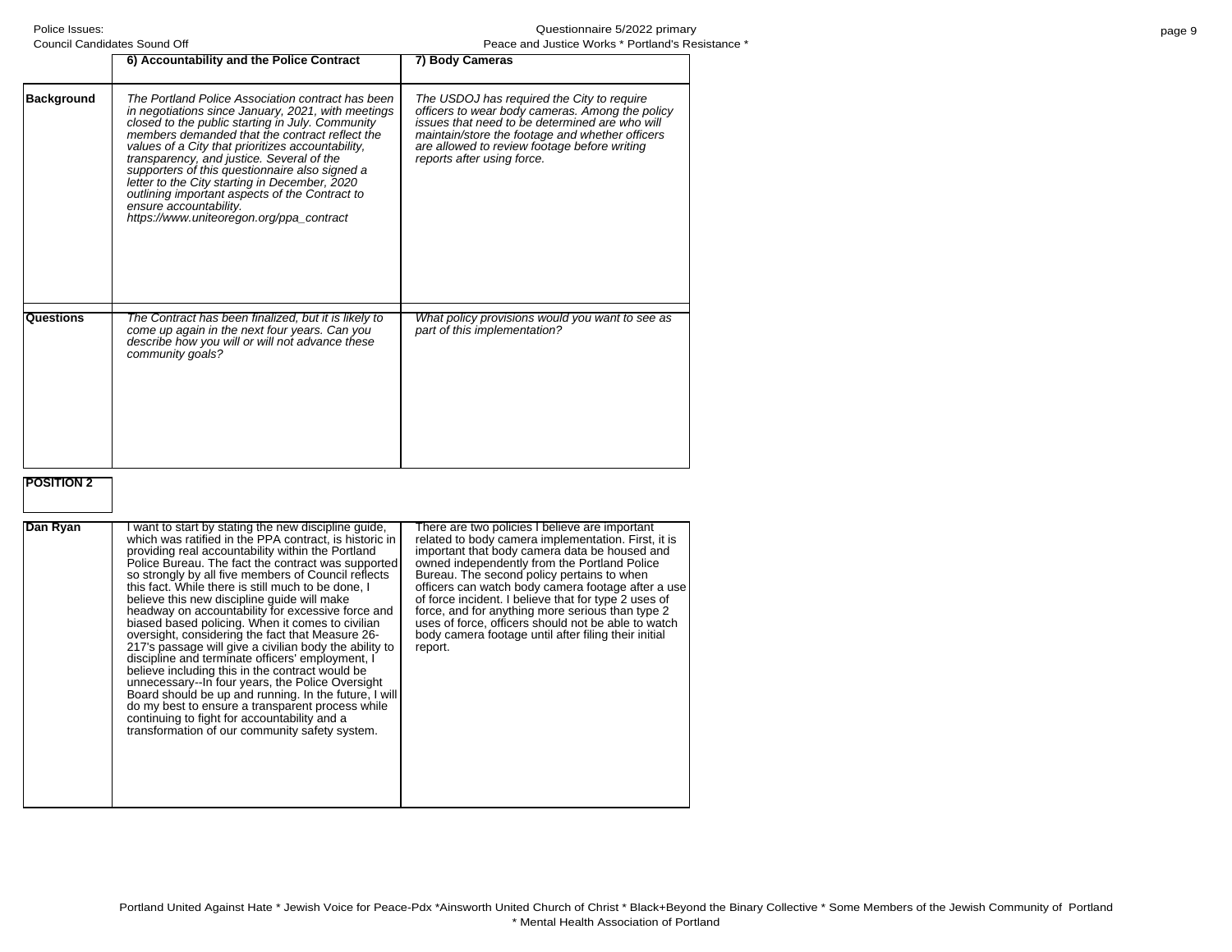| Council Candidates Sound Off |                                                                                                                                                                                                                                                                                                                                                                                                                                                                                                                                            | Peace and Justice Works * Portland's Res                                                                                                                                                                                                                                         |  |
|------------------------------|--------------------------------------------------------------------------------------------------------------------------------------------------------------------------------------------------------------------------------------------------------------------------------------------------------------------------------------------------------------------------------------------------------------------------------------------------------------------------------------------------------------------------------------------|----------------------------------------------------------------------------------------------------------------------------------------------------------------------------------------------------------------------------------------------------------------------------------|--|
|                              | 6) Accountability and the Police Contract                                                                                                                                                                                                                                                                                                                                                                                                                                                                                                  | 7) Body Cameras                                                                                                                                                                                                                                                                  |  |
| <b>Background</b>            | The Portland Police Association contract has been<br>in negotiations since January, 2021, with meetings<br>closed to the public starting in July. Community<br>members demanded that the contract reflect the<br>values of a City that prioritizes accountability,<br>transparency, and justice. Several of the<br>supporters of this questionnaire also signed a<br>letter to the City starting in December, 2020<br>outlining important aspects of the Contract to<br>ensure accountability.<br>https://www.uniteoregon.org/ppa_contract | The USDOJ has required the City to require<br>officers to wear body cameras. Among the policy<br>issues that need to be determined are who will<br>maintain/store the footage and whether officers<br>are allowed to review footage before writing<br>reports after using force. |  |
| Questions                    | The Contract has been finalized, but it is likely to<br>come up again in the next four years. Can you<br>describe how you will or will not advance these<br>community goals?                                                                                                                                                                                                                                                                                                                                                               | What policy provisions would you want to see as<br>part of this implementation?                                                                                                                                                                                                  |  |

# **POSITION 2**

| Dan Ryan | want to start by stating the new discipline guide,<br>which was ratified in the PPA contract, is historic in<br>providing real accountability within the Portland<br>Police Bureau. The fact the contract was supported<br>so strongly by all five members of Council reflects<br>this fact. While there is still much to be done, I<br>believe this new discipline quide will make<br>headway on accountability for excessive force and<br>biased based policing. When it comes to civilian<br>oversight, considering the fact that Measure 26-<br>217's passage will give a civilian body the ability to<br>discipline and terminate officers' employment, I<br>believe including this in the contract would be<br>unnecessary--In four years, the Police Oversight<br>Board should be up and running. In the future, I will<br>do my best to ensure a transparent process while<br>continuing to fight for accountability and a<br>transformation of our community safety system. | There are two policies I believe are important<br>related to body camera implementation. First, it is<br>important that body camera data be housed and<br>owned independently from the Portland Police<br>Bureau. The second policy pertains to when<br>officers can watch body camera footage after a use<br>of force incident. I believe that for type 2 uses of<br>force, and for anything more serious than type 2<br>uses of force, officers should not be able to watch<br>body camera footage until after filing their initial<br>report. |
|----------|--------------------------------------------------------------------------------------------------------------------------------------------------------------------------------------------------------------------------------------------------------------------------------------------------------------------------------------------------------------------------------------------------------------------------------------------------------------------------------------------------------------------------------------------------------------------------------------------------------------------------------------------------------------------------------------------------------------------------------------------------------------------------------------------------------------------------------------------------------------------------------------------------------------------------------------------------------------------------------------|--------------------------------------------------------------------------------------------------------------------------------------------------------------------------------------------------------------------------------------------------------------------------------------------------------------------------------------------------------------------------------------------------------------------------------------------------------------------------------------------------------------------------------------------------|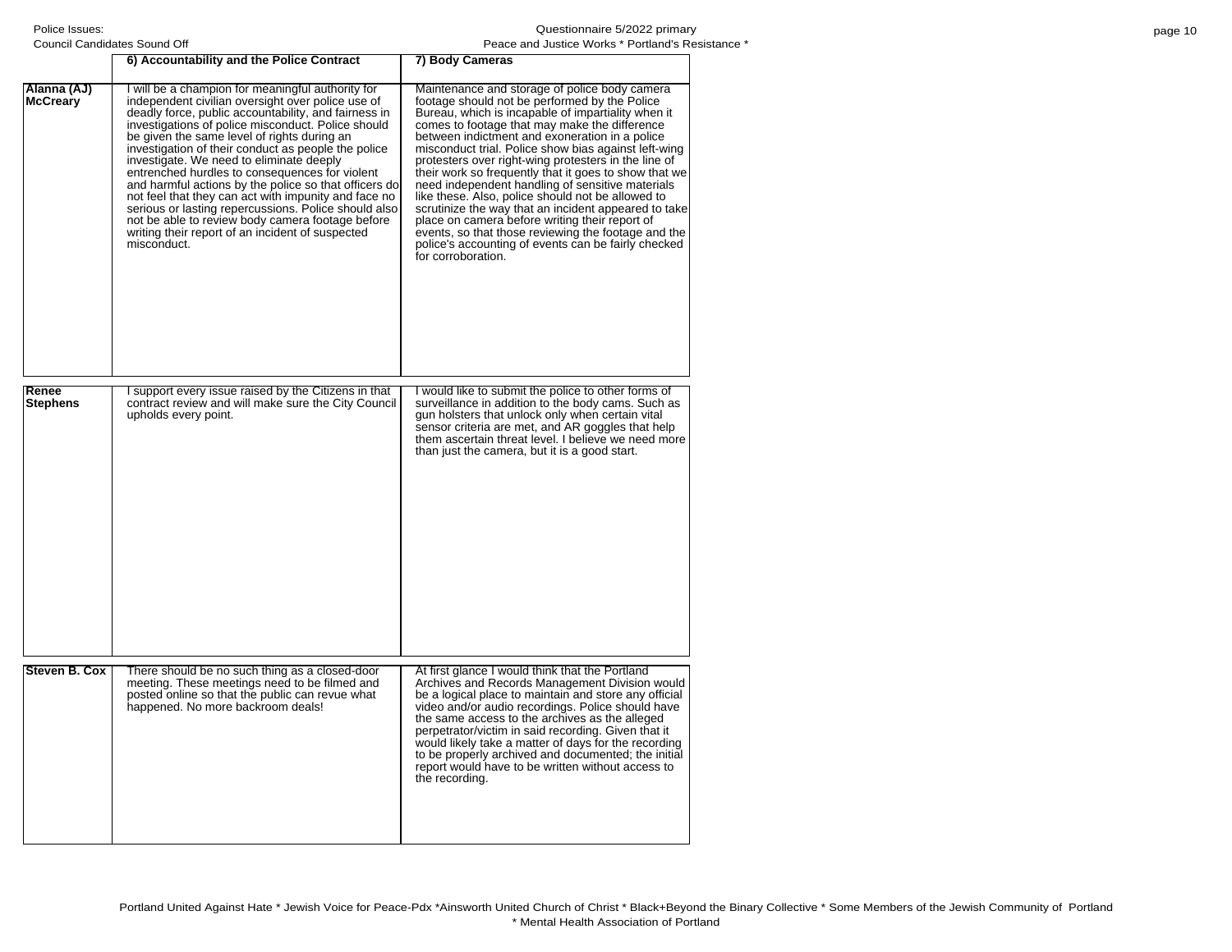| page 10 |  |  |
|---------|--|--|
|---------|--|--|

| Council Candidates Sound Off   |                                                                                                                                                                                                                                                                                                                                                                                                                                                                                                                                                                                                                                                                                                                          | Peace and Justice Works * Portland's Resi                                                                                                                                                                                                                                                                                                                                                                                                                                                                                                                                                                                                                                                                                                                                               |
|--------------------------------|--------------------------------------------------------------------------------------------------------------------------------------------------------------------------------------------------------------------------------------------------------------------------------------------------------------------------------------------------------------------------------------------------------------------------------------------------------------------------------------------------------------------------------------------------------------------------------------------------------------------------------------------------------------------------------------------------------------------------|-----------------------------------------------------------------------------------------------------------------------------------------------------------------------------------------------------------------------------------------------------------------------------------------------------------------------------------------------------------------------------------------------------------------------------------------------------------------------------------------------------------------------------------------------------------------------------------------------------------------------------------------------------------------------------------------------------------------------------------------------------------------------------------------|
|                                | 6) Accountability and the Police Contract                                                                                                                                                                                                                                                                                                                                                                                                                                                                                                                                                                                                                                                                                | 7) Body Cameras                                                                                                                                                                                                                                                                                                                                                                                                                                                                                                                                                                                                                                                                                                                                                                         |
| Alanna (AJ)<br><b>McCreary</b> | I will be a champion for meaningful authority for<br>independent civilian oversight over police use of<br>deadly force, public accountability, and fairness in<br>investigations of police misconduct. Police should<br>be given the same level of rights during an<br>investigation of their conduct as people the police<br>investigate. We need to eliminate deeply<br>entrenched hurdles to consequences for violent<br>and harmful actions by the police so that officers do<br>not feel that they can act with impunity and face no<br>serious or lasting repercussions. Police should also<br>not be able to review body camera footage before<br>writing their report of an incident of suspected<br>misconduct. | Maintenance and storage of police body camera<br>footage should not be performed by the Police<br>Bureau, which is incapable of impartiality when it<br>comes to footage that may make the difference<br>between indictment and exoneration in a police<br>misconduct trial. Police show bias against left-wing<br>protesters over right-wing protesters in the line of<br>their work so frequently that it goes to show that we<br>need independent handling of sensitive materials<br>like these. Also, police should not be allowed to<br>scrutinize the way that an incident appeared to take<br>place on camera before writing their report of<br>events, so that those reviewing the footage and the<br>police's accounting of events can be fairly checked<br>for corroboration. |
| Renee<br><b>Stephens</b>       | I support every issue raised by the Citizens in that<br>contract review and will make sure the City Council<br>upholds every point.                                                                                                                                                                                                                                                                                                                                                                                                                                                                                                                                                                                      | I would like to submit the police to other forms of<br>surveillance in addition to the body cams. Such as<br>gun holsters that unlock only when certain vital<br>sensor criteria are met, and AR goggles that help<br>them ascertain threat level. I believe we need more<br>than just the camera, but it is a good start.                                                                                                                                                                                                                                                                                                                                                                                                                                                              |
| Steven B. Cox                  | There should be no such thing as a closed-door<br>meeting. These meetings need to be filmed and<br>posted online so that the public can revue what<br>happened. No more backroom deals!                                                                                                                                                                                                                                                                                                                                                                                                                                                                                                                                  | At first glance I would think that the Portland<br>Archives and Records Management Division would<br>be a logical place to maintain and store any official<br>video and/or audio recordings. Police should have<br>the same access to the archives as the alleged<br>perpetrator/victim in said recording. Given that it<br>would likely take a matter of days for the recording<br>to be properly archived and documented; the initial<br>report would have to be written without access to<br>the recording.                                                                                                                                                                                                                                                                          |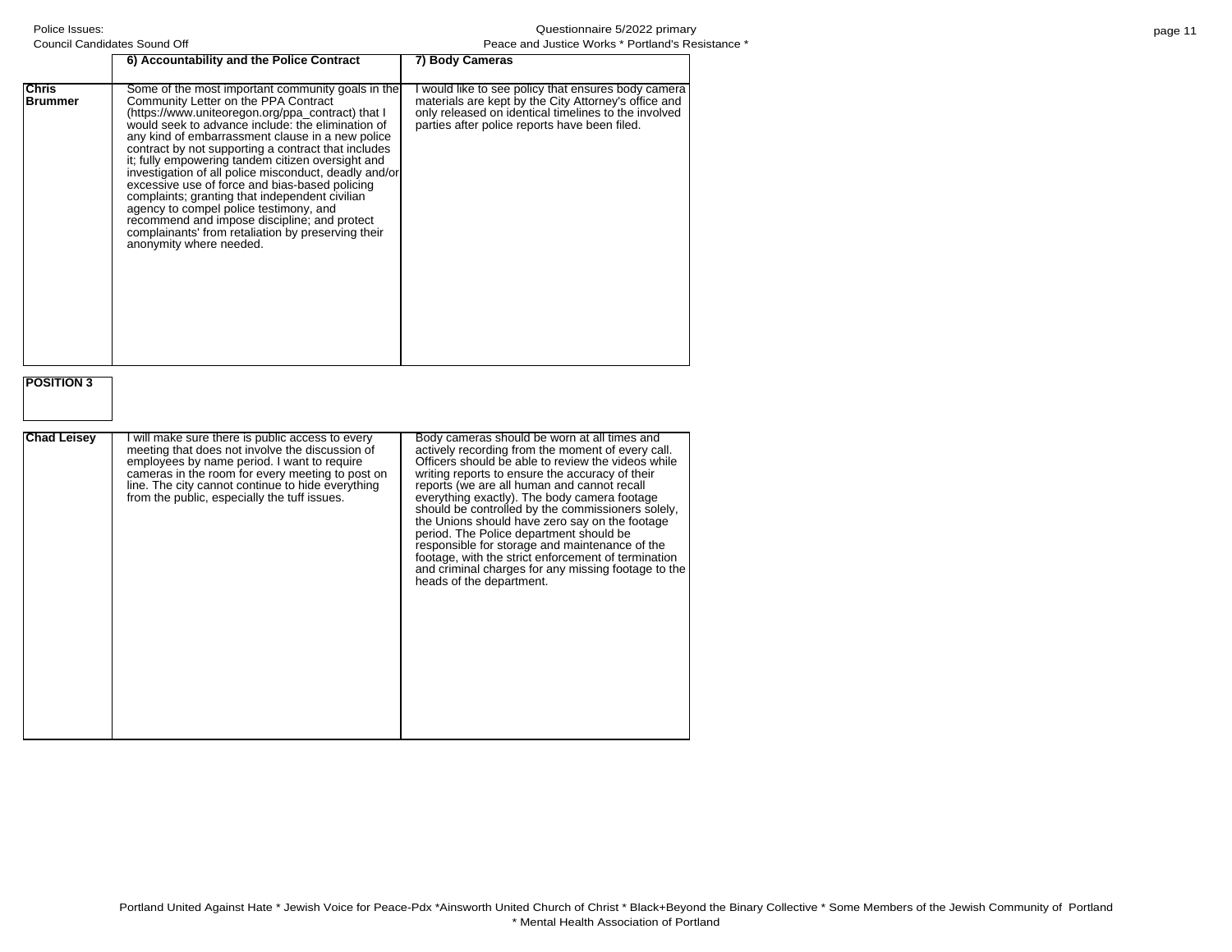### Questionnaire 5/2022 primary istance \*

|                         | Council Candidates Sound Off                                                                                                                                                                                                                                                                                                                                                                                                                                                                                                                                                                                                                                                                                | Peace and Justice Works * Portland's Resi                                                                                                                                                                                                                                                                                                                                                                                                                                                                                                                                                                                                               |
|-------------------------|-------------------------------------------------------------------------------------------------------------------------------------------------------------------------------------------------------------------------------------------------------------------------------------------------------------------------------------------------------------------------------------------------------------------------------------------------------------------------------------------------------------------------------------------------------------------------------------------------------------------------------------------------------------------------------------------------------------|---------------------------------------------------------------------------------------------------------------------------------------------------------------------------------------------------------------------------------------------------------------------------------------------------------------------------------------------------------------------------------------------------------------------------------------------------------------------------------------------------------------------------------------------------------------------------------------------------------------------------------------------------------|
|                         | 6) Accountability and the Police Contract                                                                                                                                                                                                                                                                                                                                                                                                                                                                                                                                                                                                                                                                   | 7) Body Cameras                                                                                                                                                                                                                                                                                                                                                                                                                                                                                                                                                                                                                                         |
| Chris<br><b>Brummer</b> | Some of the most important community goals in the<br>Community Letter on the PPA Contract<br>(https://www.uniteoregon.org/ppa_contract) that I<br>would seek to advance include: the elimination of<br>any kind of embarrassment clause in a new police<br>contract by not supporting a contract that includes<br>it; fully empowering tandem citizen oversight and<br>investigation of all police misconduct, deadly and/or<br>excessive use of force and bias-based policing<br>complaints; granting that independent civilian<br>agency to compel police testimony, and<br>recommend and impose discipline; and protect<br>complainants' from retaliation by preserving their<br>anonymity where needed. | I would like to see policy that ensures body camera<br>materials are kept by the City Attorney's office and<br>only released on identical timelines to the involved<br>parties after police reports have been filed.                                                                                                                                                                                                                                                                                                                                                                                                                                    |
| <b>POSITION 3</b>       |                                                                                                                                                                                                                                                                                                                                                                                                                                                                                                                                                                                                                                                                                                             |                                                                                                                                                                                                                                                                                                                                                                                                                                                                                                                                                                                                                                                         |
| <b>Chad Leisey</b>      | I will make sure there is public access to every<br>meeting that does not involve the discussion of<br>employees by name period. I want to require<br>cameras in the room for every meeting to post on<br>line. The city cannot continue to hide everything<br>from the public, especially the tuff issues.                                                                                                                                                                                                                                                                                                                                                                                                 | Body cameras should be worn at all times and<br>actively recording from the moment of every call.<br>Officers should be able to review the videos while<br>writing reports to ensure the accuracy of their<br>reports (we are all human and cannot recall<br>everything exactly). The body camera footage<br>should be controlled by the commissioners solely,<br>the Unions should have zero say on the footage<br>period. The Police department should be<br>responsible for storage and maintenance of the<br>footage, with the strict enforcement of termination<br>and criminal charges for any missing footage to the<br>heads of the department. |